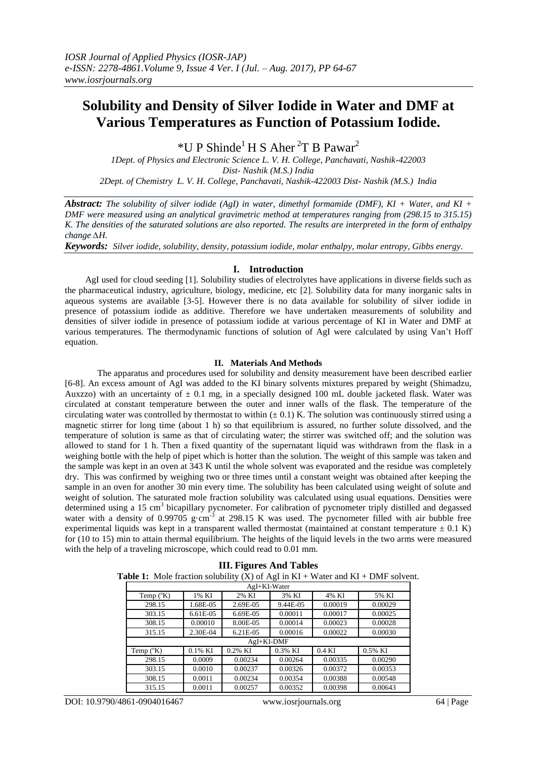# **Solubility and Density of Silver Iodide in Water and DMF at Various Temperatures as Function of Potassium Iodide.**

 $*U$  P Shinde<sup>1</sup> H S Aher<sup>2</sup>T B Pawar<sup>2</sup>

*1Dept. of Physics and Electronic Science L. V. H. College, Panchavati, Nashik-422003 Dist- Nashik (M.S.) India 2Dept. of Chemistry L. V. H. College, Panchavati, Nashik-422003 Dist- Nashik (M.S.) India*

*Abstract: The solubility of silver iodide (AgI) in water, dimethyl formamide (DMF), KI + Water, and KI + DMF were measured using an analytical gravimetric method at temperatures ranging from (298.15 to 315.15) K. The densities of the saturated solutions are also reported. The results are interpreted in the form of enthalpy change ∆H.*

*Keywords: Silver iodide, solubility, density, potassium iodide, molar enthalpy, molar entropy, Gibbs energy*.

## **I. Introduction**

 AgI used for cloud seeding [1]. Solubility studies of electrolytes have applications in diverse fields such as the pharmaceutical industry, agriculture, biology, medicine, etc [2]. Solubility data for many inorganic salts in aqueous systems are available [3-5]. However there is no data available for solubility of silver iodide in presence of potassium iodide as additive. Therefore we have undertaken measurements of solubility and densities of silver iodide in presence of potassium iodide at various percentage of KI in Water and DMF at various temperatures. The thermodynamic functions of solution of AgI were calculated by using Van't Hoff equation.

## **II. Materials And Methods**

The apparatus and procedures used for solubility and density measurement have been described earlier [6-8]. An excess amount of AgI was added to the KI binary solvents mixtures prepared by weight (Shimadzu, Auxzzo) with an uncertainty of  $\pm$  0.1 mg, in a specially designed 100 mL double jacketed flask. Water was circulated at constant temperature between the outer and inner walls of the flask. The temperature of the circulating water was controlled by thermostat to within  $(\pm 0.1)$  K. The solution was continuously stirred using a magnetic stirrer for long time (about 1 h) so that equilibrium is assured, no further solute dissolved, and the temperature of solution is same as that of circulating water; the stirrer was switched off; and the solution was allowed to stand for 1 h. Then a fixed quantity of the supernatant liquid was withdrawn from the flask in a weighing bottle with the help of pipet which is hotter than the solution. The weight of this sample was taken and the sample was kept in an oven at 343 K until the whole solvent was evaporated and the residue was completely dry. This was confirmed by weighing two or three times until a constant weight was obtained after keeping the sample in an oven for another 30 min every time. The solubility has been calculated using weight of solute and weight of solution. The saturated mole fraction solubility was calculated using usual equations. Densities were determined using a 15 cm<sup>3</sup> bicapillary pycnometer. For calibration of pycnometer triply distilled and degassed water with a density of 0.99705 g·cm<sup>-3</sup> at 298.15 K was used. The pycnometer filled with air bubble free experimental liquids was kept in a transparent walled thermostat (maintained at constant temperature  $\pm$  0.1 K) for (10 to 15) min to attain thermal equilibrium. The heights of the liquid levels in the two arms were measured with the help of a traveling microscope, which could read to 0.01 mm.

| <b>ble 1:</b> Mole fraction solubility (X) of AgI in $KL + W$ ater and $KL + DMF$ solver |             |          |          |          |         |
|------------------------------------------------------------------------------------------|-------------|----------|----------|----------|---------|
| AgI+KI-Water                                                                             |             |          |          |          |         |
| Temp $(^{\circ}K)$                                                                       | 1% KI       | 2% KI    | 3% KI    | 4% KI    | 5% KI   |
| 298.15                                                                                   | 1.68E-05    | 2.69E-05 | 9.44E-05 | 0.00019  | 0.00029 |
| 303.15                                                                                   | $6.61E-0.5$ | 6.69E-05 | 0.00011  | 0.00017  | 0.00025 |
| 308.15                                                                                   | 0.00010     | 8.00E-05 | 0.00014  | 0.00023  | 0.00028 |
| 315.15                                                                                   | 2.30E-04    | 6.21E-05 | 0.00016  | 0.00022  | 0.00030 |
| AgI+KI-DMF                                                                               |             |          |          |          |         |
| Temp $({}^{\circ}K)$                                                                     | $0.1\%$ KI  | 0.2% KI  | 0.3% KI  | $0.4$ KI | 0.5% KI |
| 298.15                                                                                   | 0.0009      | 0.00234  | 0.00264  | 0.00335  | 0.00290 |
| 303.15                                                                                   | 0.0010      | 0.00237  | 0.00326  | 0.00372  | 0.00353 |
| 308.15                                                                                   | 0.0011      | 0.00234  | 0.00354  | 0.00388  | 0.00548 |
| 315.15                                                                                   | 0.0011      | 0.00257  | 0.00352  | 0.00398  | 0.00643 |

| <b>III. Figures And Tables</b> |  |  |
|--------------------------------|--|--|
|--------------------------------|--|--|

**Table 1:** Mole fraction solubility  $(X)$  of AgI in  $KI + W$  ater and  $KI + DMF$  solvent.

DOI: 10.9790/4861-0904016467 www.iosrjournals.org 64 | Page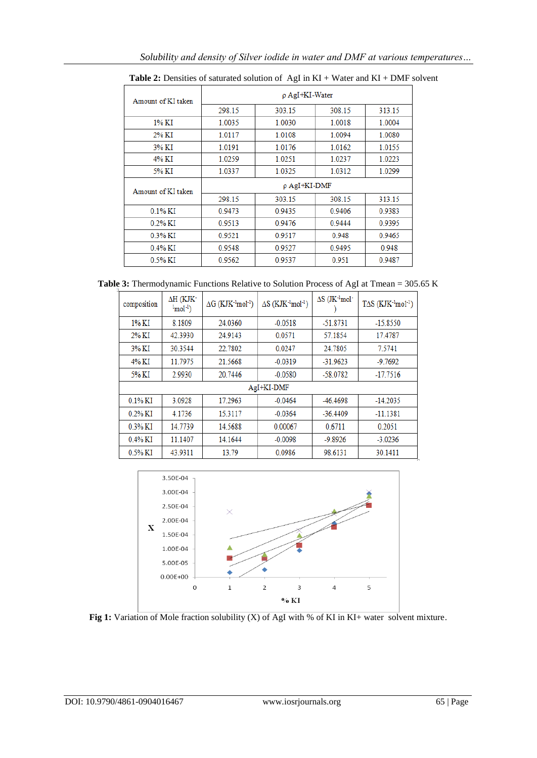| Amount of KI taken | $\rho$ AgI+KI-Water |        |        |        |  |
|--------------------|---------------------|--------|--------|--------|--|
|                    | 298.15              | 303.15 | 308.15 | 313.15 |  |
| 1% KI              | 1.0035              | 1.0030 | 1.0018 | 1.0004 |  |
| 2% KI              | 1.0117              | 1.0108 | 1.0094 | 1.0080 |  |
| 3% KI              | 1.0191              | 1.0176 | 1.0162 | 1.0155 |  |
| 4% KI              | 1.0259              | 1.0251 | 1.0237 | 1.0223 |  |
| 5% KI              | 1.0337              | 1.0325 | 1.0312 | 1.0299 |  |
| Amount of KI taken | $\rho$ AgI+KI-DMF   |        |        |        |  |
|                    | 298.15              | 303.15 | 308.15 | 313.15 |  |
| $0.1\%$ KI         | 0.9473              | 0.9435 | 0.9406 | 0.9383 |  |
| $0.2\%$ KI         | 0.9513              | 0.9476 | 0.9444 | 0.9395 |  |
| $0.3\%$ KI         | 0.9521              | 0.9517 | 0.948  | 0.9465 |  |
| $0.4\%$ KI         | 0.9548              | 0.9527 | 0.9495 | 0.948  |  |
| 0.5% KI            | 0.9562              | 0.9537 | 0.951  | 0.9487 |  |

**Table 2:** Densities of saturated solution of AgI in KI + Water and KI + DMF solvent

**Table 3:** Thermodynamic Functions Relative to Solution Process of AgI at Tmean = 305.65 K

| composition | $\Delta H$ (KJK-<br>$\text{Imol}^{-1}$ ) | $\Delta G$ (KJK $\cdot$ <sup>1</sup> mol <sup>-1</sup> ) | $\Delta S$ (KJK <sup>-1</sup> mol <sup>-1</sup> ) | $\Delta S$ (JK- <sup>1</sup> mol- | $T\Delta S$ (KJK <sup>-1</sup> mol <sup>-1</sup> ) |
|-------------|------------------------------------------|----------------------------------------------------------|---------------------------------------------------|-----------------------------------|----------------------------------------------------|
| $1\%$ KI    | 8.1809                                   | 24.0360                                                  | $-0.0518$                                         | $-51.8731$                        | $-15.8550$                                         |
| $2\%$ KI    | 42.3930                                  | 24.9143                                                  | 0.0571                                            | 57.1854                           | 17.4787                                            |
| 3% KI       | 30.3544                                  | 22.7802                                                  | 0.0247                                            | 24.7805                           | 7.5741                                             |
| 4% KI       | 11.7975                                  | 21.5668                                                  | $-0.0319$                                         | $-31.9623$                        | $-9.7692$                                          |
| 5% KI       | 2.9930                                   | 20.7446                                                  | $-0.0580$                                         | $-58.0782$                        | $-17.7516$                                         |
| AgI+KI-DMF  |                                          |                                                          |                                                   |                                   |                                                    |
| $0.1\%$ KI  | 3.0928                                   | 17.2963                                                  | $-0.0464$                                         | -46.4698                          | $-14.2035$                                         |
| $0.2\%$ KI  | 4.1736                                   | 15.3117                                                  | $-0.0364$                                         | $-36.4409$                        | $-11.1381$                                         |
| $0.3\%$ KI  | 14.7739                                  | 14.5688                                                  | 0.00067                                           | 0.6711                            | 0.2051                                             |
| $0.4\%$ KI  | 11.1407                                  | 14.1644                                                  | $-0.0098$                                         | $-9.8926$                         | $-3.0236$                                          |
| $0.5\%$ KI  | 43.9311                                  | 13.79                                                    | 0.0986                                            | 98.6131                           | 30.1411                                            |



Fig 1: Variation of Mole fraction solubility (X) of AgI with % of KI in KI+ water solvent mixture.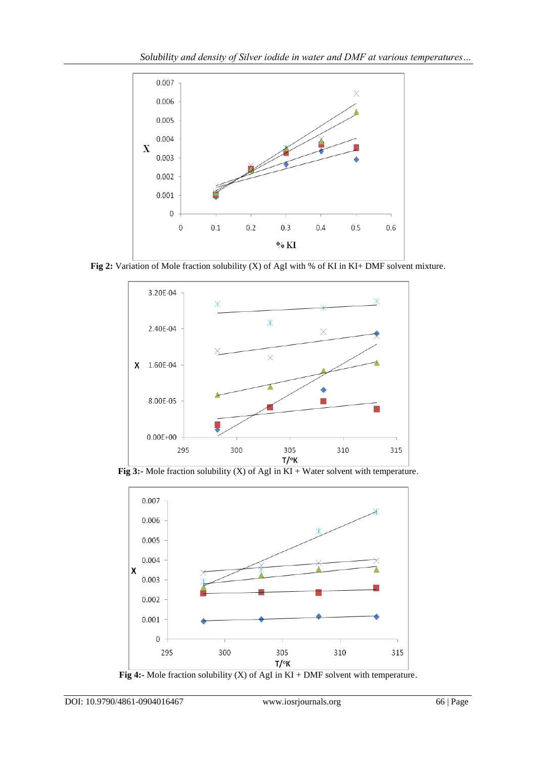

Fig 2: Variation of Mole fraction solubility (X) of AgI with % of KI in KI+ DMF solvent mixture.



**Fig 3:-** Mole fraction solubility (X) of AgI in KI + Water solvent with temperature.